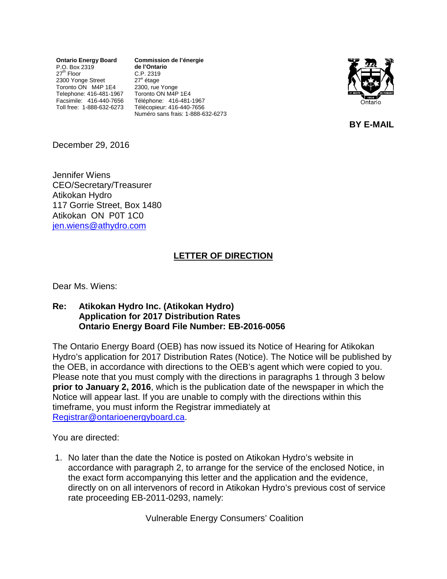**Ontario Energy Board** P.O. Box 2319 27<sup>th</sup> Floor 2300 Yonge Street Toronto ON M4P 1E4 Telephone: 416-481-1967 Facsimile: 416-440-7656 Toll free: 1-888-632-6273

**Commission de l'énergie de l'Ontario** C.P. 2319 27<sup>e</sup> étage 2300, rue Yonge Toronto ON M4P 1E4 Téléphone: 416-481-1967 Télécopieur: 416-440-7656 Numéro sans frais: 1-888-632-6273



**BY E-MAIL**

December 29, 2016

Jennifer Wiens CEO/Secretary/Treasurer Atikokan Hydro 117 Gorrie Street, Box 1480 Atikokan ON P0T 1C0 [jen.wiens@athydro.com](mailto:jen.wiens@athydro.com)

## **LETTER OF DIRECTION**

Dear Ms. Wiens:

## **Re: Atikokan Hydro Inc. (Atikokan Hydro) Application for 2017 Distribution Rates Ontario Energy Board File Number: EB-2016-0056**

The Ontario Energy Board (OEB) has now issued its Notice of Hearing for Atikokan Hydro's application for 2017 Distribution Rates (Notice). The Notice will be published by the OEB, in accordance with directions to the OEB's agent which were copied to you. Please note that you must comply with the directions in paragraphs 1 through 3 below **prior to January 2, 2016**, which is the publication date of the newspaper in which the Notice will appear last. If you are unable to comply with the directions within this timeframe, you must inform the Registrar immediately at [Registrar@ontarioenergyboard.ca.](mailto:Registrar@ontarioenergyboard.ca)

You are directed:

1. No later than the date the Notice is posted on Atikokan Hydro's website in accordance with paragraph 2, to arrange for the service of the enclosed Notice, in the exact form accompanying this letter and the application and the evidence, directly on on all intervenors of record in Atikokan Hydro's previous cost of service rate proceeding EB-2011-0293, namely:

Vulnerable Energy Consumers' Coalition